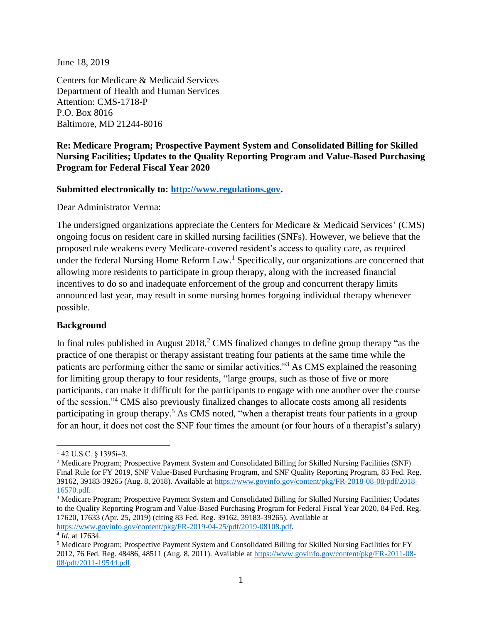June 18, 2019

Centers for Medicare & Medicaid Services Department of Health and Human Services Attention: CMS-1718-P P.O. Box 8016 Baltimore, MD 21244-8016

# **Re: Medicare Program; Prospective Payment System and Consolidated Billing for Skilled Nursing Facilities; Updates to the Quality Reporting Program and Value-Based Purchasing Program for Federal Fiscal Year 2020**

### **Submitted electronically to: [http://www.regulations.gov.](http://www.regulations.gov/)**

Dear Administrator Verma:

The undersigned organizations appreciate the Centers for Medicare & Medicaid Services' (CMS) ongoing focus on resident care in skilled nursing facilities (SNFs). However, we believe that the proposed rule weakens every Medicare-covered resident's access to quality care, as required under the federal Nursing Home Reform Law.<sup>1</sup> Specifically, our organizations are concerned that allowing more residents to participate in group therapy, along with the increased financial incentives to do so and inadequate enforcement of the group and concurrent therapy limits announced last year, may result in some nursing homes forgoing individual therapy whenever possible.

#### **Background**

In final rules published in August  $2018<sup>2</sup>$  CMS finalized changes to define group therapy "as the practice of one therapist or therapy assistant treating four patients at the same time while the patients are performing either the same or similar activities."<sup>3</sup> As CMS explained the reasoning for limiting group therapy to four residents, "large groups, such as those of five or more participants, can make it difficult for the participants to engage with one another over the course of the session."<sup>4</sup> CMS also previously finalized changes to allocate costs among all residents participating in group therapy.<sup>5</sup> As CMS noted, "when a therapist treats four patients in a group for an hour, it does not cost the SNF four times the amount (or four hours of a therapist's salary)

 $\overline{\phantom{a}}$ <sup>1</sup> 42 U.S.C. § 1395i–3.

<sup>&</sup>lt;sup>2</sup> Medicare Program; Prospective Payment System and Consolidated Billing for Skilled Nursing Facilities (SNF) Final Rule for FY 2019, SNF Value-Based Purchasing Program, and SNF Quality Reporting Program, 83 Fed. Reg. 39162, 39183-39265 (Aug. 8, 2018). Available at [https://www.govinfo.gov/content/pkg/FR-2018-08-08/pdf/2018-](https://www.govinfo.gov/content/pkg/FR-2018-08-08/pdf/2018-16570.pdf) [16570.pdf.](https://www.govinfo.gov/content/pkg/FR-2018-08-08/pdf/2018-16570.pdf)

<sup>3</sup> Medicare Program; Prospective Payment System and Consolidated Billing for Skilled Nursing Facilities; Updates to the Quality Reporting Program and Value-Based Purchasing Program for Federal Fiscal Year 2020, 84 Fed. Reg. 17620, 17633 (Apr. 25, 2019) (citing 83 Fed. Reg. 39162, 39183-39265). Available at [https://www.govinfo.gov/content/pkg/FR-2019-04-25/pdf/2019-08108.pdf.](https://www.govinfo.gov/content/pkg/FR-2019-04-25/pdf/2019-08108.pdf)

<sup>4</sup> *Id.* at 17634.

<sup>5</sup> Medicare Program; Prospective Payment System and Consolidated Billing for Skilled Nursing Facilities for FY 2012, 76 Fed. Reg. 48486, 48511 (Aug. 8, 2011). Available at [https://www.govinfo.gov/content/pkg/FR-2011-08-](https://www.govinfo.gov/content/pkg/FR-2011-08-08/pdf/2011-19544.pdf) [08/pdf/2011-19544.pdf.](https://www.govinfo.gov/content/pkg/FR-2011-08-08/pdf/2011-19544.pdf)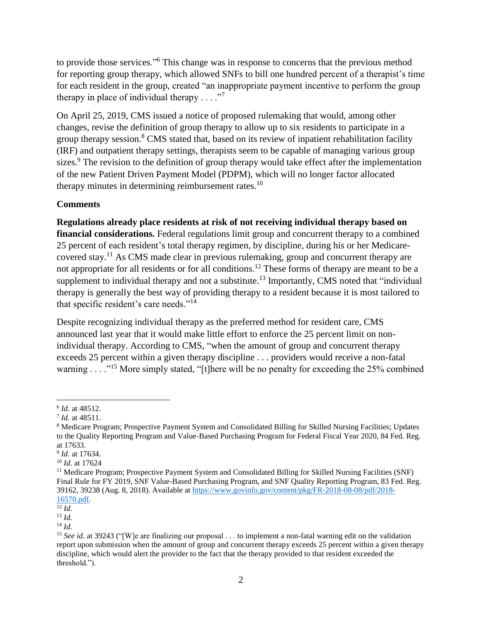to provide those services."<sup>6</sup> This change was in response to concerns that the previous method for reporting group therapy, which allowed SNFs to bill one hundred percent of a therapist's time for each resident in the group, created "an inappropriate payment incentive to perform the group therapy in place of individual therapy  $\dots$ ."<sup>7</sup>

On April 25, 2019, CMS issued a notice of proposed rulemaking that would, among other changes, revise the definition of group therapy to allow up to six residents to participate in a group therapy session.<sup>8</sup> CMS stated that, based on its review of inpatient rehabilitation facility (IRF) and outpatient therapy settings, therapists seem to be capable of managing various group sizes.<sup>9</sup> The revision to the definition of group therapy would take effect after the implementation of the new Patient Driven Payment Model (PDPM), which will no longer factor allocated therapy minutes in determining reimbursement rates. $^{10}$ 

# **Comments**

**Regulations already place residents at risk of not receiving individual therapy based on financial considerations.** Federal regulations limit group and concurrent therapy to a combined 25 percent of each resident's total therapy regimen, by discipline, during his or her Medicarecovered stay.<sup>11</sup> As CMS made clear in previous rulemaking, group and concurrent therapy are not appropriate for all residents or for all conditions.<sup>12</sup> These forms of therapy are meant to be a supplement to individual therapy and not a substitute.<sup>13</sup> Importantly, CMS noted that "individual" therapy is generally the best way of providing therapy to a resident because it is most tailored to that specific resident's care needs."<sup>14</sup>

Despite recognizing individual therapy as the preferred method for resident care, CMS announced last year that it would make little effort to enforce the 25 percent limit on nonindividual therapy. According to CMS, "when the amount of group and concurrent therapy exceeds 25 percent within a given therapy discipline . . . providers would receive a non-fatal warning  $\ldots$ ."<sup>15</sup> More simply stated, "[t]here will be no penalty for exceeding the 25% combined

 $\overline{\phantom{a}}$ 6 *Id.* at 48512.

<sup>7</sup> *Id.* at 48511.

<sup>8</sup> Medicare Program; Prospective Payment System and Consolidated Billing for Skilled Nursing Facilities; Updates to the Quality Reporting Program and Value-Based Purchasing Program for Federal Fiscal Year 2020, 84 Fed. Reg. at 17633.

<sup>9</sup> *Id.* at 17634.

<sup>10</sup> *Id.* at 17624

<sup>11</sup> Medicare Program; Prospective Payment System and Consolidated Billing for Skilled Nursing Facilities (SNF) Final Rule for FY 2019, SNF Value-Based Purchasing Program, and SNF Quality Reporting Program, 83 Fed. Reg. 39162, 39238 (Aug. 8, 2018). Available at [https://www.govinfo.gov/content/pkg/FR-2018-08-08/pdf/2018-](https://www.govinfo.gov/content/pkg/FR-2018-08-08/pdf/2018-16570.pdf) [16570.pdf.](https://www.govinfo.gov/content/pkg/FR-2018-08-08/pdf/2018-16570.pdf)

 $\overline{^{12}Id}$ .

<sup>13</sup> *Id.*

<sup>14</sup> *Id.*

<sup>15</sup> *See id.* at 39243 ("[W]e are finalizing our proposal . . . to implement a non-fatal warning edit on the validation report upon submission when the amount of group and concurrent therapy exceeds 25 percent within a given therapy discipline, which would alert the provider to the fact that the therapy provided to that resident exceeded the threshold.").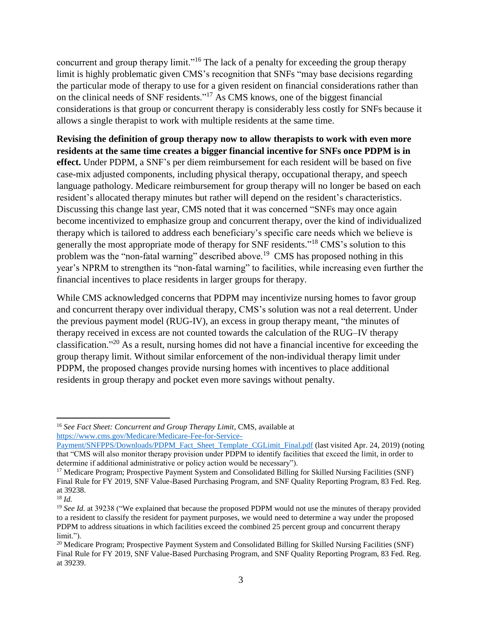concurrent and group therapy limit."<sup>16</sup> The lack of a penalty for exceeding the group therapy limit is highly problematic given CMS's recognition that SNFs "may base decisions regarding the particular mode of therapy to use for a given resident on financial considerations rather than on the clinical needs of SNF residents."<sup>17</sup> As CMS knows, one of the biggest financial considerations is that group or concurrent therapy is considerably less costly for SNFs because it allows a single therapist to work with multiple residents at the same time.

**Revising the definition of group therapy now to allow therapists to work with even more residents at the same time creates a bigger financial incentive for SNFs once PDPM is in effect.** Under PDPM, a SNF's per diem reimbursement for each resident will be based on five case-mix adjusted components, including physical therapy, occupational therapy, and speech language pathology. Medicare reimbursement for group therapy will no longer be based on each resident's allocated therapy minutes but rather will depend on the resident's characteristics. Discussing this change last year, CMS noted that it was concerned "SNFs may once again become incentivized to emphasize group and concurrent therapy, over the kind of individualized therapy which is tailored to address each beneficiary's specific care needs which we believe is generally the most appropriate mode of therapy for SNF residents."<sup>18</sup> CMS's solution to this problem was the "non-fatal warning" described above.<sup>19</sup> CMS has proposed nothing in this year's NPRM to strengthen its "non-fatal warning" to facilities, while increasing even further the financial incentives to place residents in larger groups for therapy.

While CMS acknowledged concerns that PDPM may incentivize nursing homes to favor group and concurrent therapy over individual therapy, CMS's solution was not a real deterrent. Under the previous payment model (RUG-IV), an excess in group therapy meant, "the minutes of therapy received in excess are not counted towards the calculation of the RUG–IV therapy classification." <sup>20</sup> As a result, nursing homes did not have a financial incentive for exceeding the group therapy limit. Without similar enforcement of the non-individual therapy limit under PDPM, the proposed changes provide nursing homes with incentives to place additional residents in group therapy and pocket even more savings without penalty.

 $\overline{\phantom{a}}$ 

<sup>16</sup> *See Fact Sheet: Concurrent and Group Therapy Limit*, CMS, available at [https://www.cms.gov/Medicare/Medicare-Fee-for-Service-](https://www.cms.gov/Medicare/Medicare-Fee-for-Service-Payment/SNFPPS/Downloads/PDPM_Fact_Sheet_Template_CGLimit_Final.pdf)

[Payment/SNFPPS/Downloads/PDPM\\_Fact\\_Sheet\\_Template\\_CGLimit\\_Final.pdf](https://www.cms.gov/Medicare/Medicare-Fee-for-Service-Payment/SNFPPS/Downloads/PDPM_Fact_Sheet_Template_CGLimit_Final.pdf) (last visited Apr. 24, 2019) (noting that "CMS will also monitor therapy provision under PDPM to identify facilities that exceed the limit, in order to determine if additional administrative or policy action would be necessary").

<sup>&</sup>lt;sup>17</sup> Medicare Program; Prospective Payment System and Consolidated Billing for Skilled Nursing Facilities (SNF) Final Rule for FY 2019, SNF Value-Based Purchasing Program, and SNF Quality Reporting Program, 83 Fed. Reg. at 39238.

<sup>18</sup> *Id.*

<sup>&</sup>lt;sup>19</sup> *See Id.* at 39238 ("We explained that because the proposed PDPM would not use the minutes of therapy provided to a resident to classify the resident for payment purposes, we would need to determine a way under the proposed PDPM to address situations in which facilities exceed the combined 25 percent group and concurrent therapy limit.").

<sup>&</sup>lt;sup>20</sup> Medicare Program; Prospective Payment System and Consolidated Billing for Skilled Nursing Facilities (SNF) Final Rule for FY 2019, SNF Value-Based Purchasing Program, and SNF Quality Reporting Program, 83 Fed. Reg. at 39239.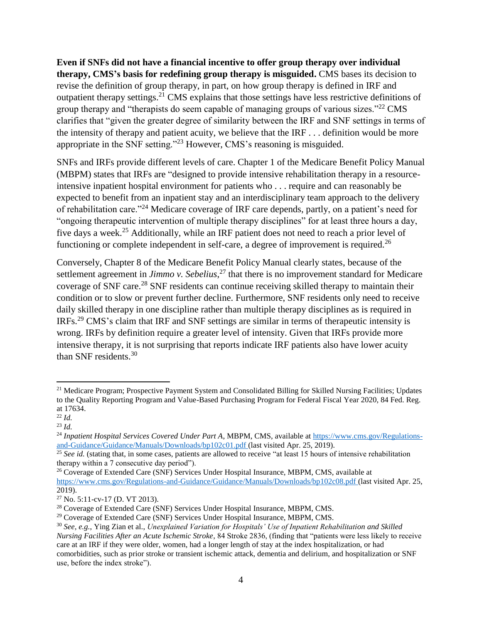**Even if SNFs did not have a financial incentive to offer group therapy over individual therapy, CMS's basis for redefining group therapy is misguided.** CMS bases its decision to revise the definition of group therapy, in part, on how group therapy is defined in IRF and outpatient therapy settings.<sup>21</sup> CMS explains that those settings have less restrictive definitions of group therapy and "therapists do seem capable of managing groups of various sizes."<sup>22</sup> CMS clarifies that "given the greater degree of similarity between the IRF and SNF settings in terms of the intensity of therapy and patient acuity, we believe that the IRF . . . definition would be more appropriate in the SNF setting."<sup>23</sup> However, CMS's reasoning is misguided.

SNFs and IRFs provide different levels of care. Chapter 1 of the Medicare Benefit Policy Manual (MBPM) states that IRFs are "designed to provide intensive rehabilitation therapy in a resourceintensive inpatient hospital environment for patients who . . . require and can reasonably be expected to benefit from an inpatient stay and an interdisciplinary team approach to the delivery of rehabilitation care."<sup>24</sup> Medicare coverage of IRF care depends, partly, on a patient's need for "ongoing therapeutic intervention of multiple therapy disciplines" for at least three hours a day, five days a week.<sup>25</sup> Additionally, while an IRF patient does not need to reach a prior level of functioning or complete independent in self-care, a degree of improvement is required.<sup>26</sup>

Conversely, Chapter 8 of the Medicare Benefit Policy Manual clearly states, because of the settlement agreement in *Jimmo v. Sebelius*, <sup>27</sup> that there is no improvement standard for Medicare coverage of SNF care.<sup>28</sup> SNF residents can continue receiving skilled therapy to maintain their condition or to slow or prevent further decline. Furthermore, SNF residents only need to receive daily skilled therapy in one discipline rather than multiple therapy disciplines as is required in IRFs.<sup>29</sup> CMS's claim that IRF and SNF settings are similar in terms of therapeutic intensity is wrong. IRFs by definition require a greater level of intensity. Given that IRFs provide more intensive therapy, it is not surprising that reports indicate IRF patients also have lower acuity than SNF residents.<sup>30</sup>

 $\overline{a}$ 

<sup>&</sup>lt;sup>21</sup> Medicare Program; Prospective Payment System and Consolidated Billing for Skilled Nursing Facilities; Updates to the Quality Reporting Program and Value-Based Purchasing Program for Federal Fiscal Year 2020, 84 Fed. Reg. at 17634.

<sup>22</sup> *Id.* 

<sup>23</sup> *Id.*

<sup>24</sup> *Inpatient Hospital Services Covered Under Part A*, MBPM, CMS, available a[t https://www.cms.gov/Regulations](https://www.cms.gov/Regulations-and-Guidance/Guidance/Manuals/Downloads/bp102c01.pdf)[and-Guidance/Guidance/Manuals/Downloads/bp102c01.pdf](https://www.cms.gov/Regulations-and-Guidance/Guidance/Manuals/Downloads/bp102c01.pdf) (last visited Apr. 25, 2019).

<sup>&</sup>lt;sup>25</sup> See id. (stating that, in some cases, patients are allowed to receive "at least 15 hours of intensive rehabilitation therapy within a 7 consecutive day period").

<sup>&</sup>lt;sup>26</sup> Coverage of Extended Care (SNF) Services Under Hospital Insurance, MBPM, CMS, available at <https://www.cms.gov/Regulations-and-Guidance/Guidance/Manuals/Downloads/bp102c08.pdf> (last visited Apr. 25, 2019).

<sup>27</sup> No. 5:11-cv-17 (D. VT 2013).

<sup>&</sup>lt;sup>28</sup> Coverage of Extended Care (SNF) Services Under Hospital Insurance, MBPM, CMS.

<sup>&</sup>lt;sup>29</sup> Coverage of Extended Care (SNF) Services Under Hospital Insurance, MBPM, CMS.

<sup>30</sup> *See, e.g.*, Ying Zian et al., *Unexplained Variation for Hospitals' Use of Inpatient Rehabilitation and Skilled Nursing Facilities After an Acute Ischemic Stroke*, 84 Stroke 2836, (finding that "patients were less likely to receive care at an IRF if they were older, women, had a longer length of stay at the index hospitalization, or had comorbidities, such as prior stroke or transient ischemic attack, dementia and delirium, and hospitalization or SNF use, before the index stroke").